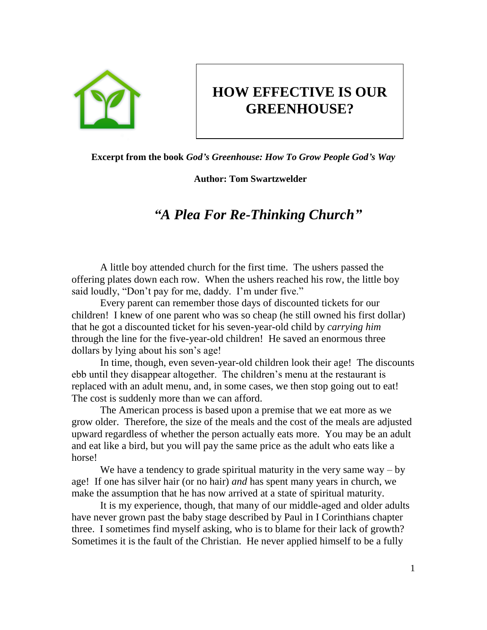

## **HOW EFFECTIVE IS OUR GREENHOUSE?**

**Excerpt from the book** *God's Greenhouse: How To Grow People God's Way*

**Author: Tom Swartzwelder**

## *"A Plea For Re-Thinking Church"*

A little boy attended church for the first time. The ushers passed the offering plates down each row. When the ushers reached his row, the little boy said loudly, "Don't pay for me, daddy. I'm under five."

Every parent can remember those days of discounted tickets for our children! I knew of one parent who was so cheap (he still owned his first dollar) that he got a discounted ticket for his seven-year-old child by *carrying him* through the line for the five-year-old children! He saved an enormous three dollars by lying about his son's age!

In time, though, even seven-year-old children look their age! The discounts ebb until they disappear altogether. The children's menu at the restaurant is replaced with an adult menu, and, in some cases, we then stop going out to eat! The cost is suddenly more than we can afford.

The American process is based upon a premise that we eat more as we grow older. Therefore, the size of the meals and the cost of the meals are adjusted upward regardless of whether the person actually eats more. You may be an adult and eat like a bird, but you will pay the same price as the adult who eats like a horse!

We have a tendency to grade spiritual maturity in the very same way  $-$  by age! If one has silver hair (or no hair) *and* has spent many years in church, we make the assumption that he has now arrived at a state of spiritual maturity.

It is my experience, though, that many of our middle-aged and older adults have never grown past the baby stage described by Paul in I Corinthians chapter three. I sometimes find myself asking, who is to blame for their lack of growth? Sometimes it is the fault of the Christian. He never applied himself to be a fully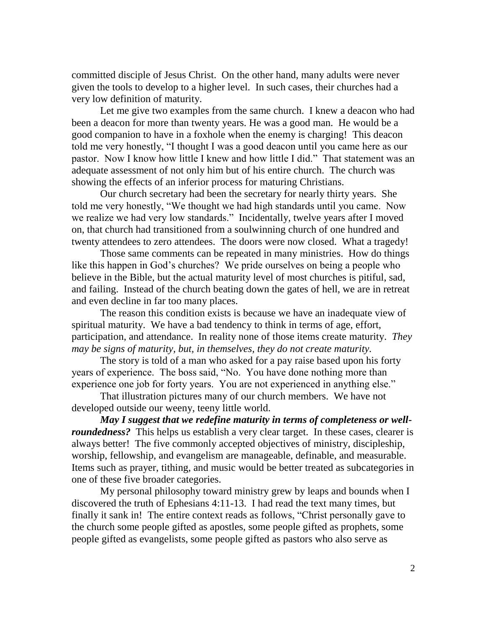committed disciple of Jesus Christ. On the other hand, many adults were never given the tools to develop to a higher level. In such cases, their churches had a very low definition of maturity.

Let me give two examples from the same church. I knew a deacon who had been a deacon for more than twenty years. He was a good man. He would be a good companion to have in a foxhole when the enemy is charging! This deacon told me very honestly, "I thought I was a good deacon until you came here as our pastor. Now I know how little I knew and how little I did." That statement was an adequate assessment of not only him but of his entire church. The church was showing the effects of an inferior process for maturing Christians.

Our church secretary had been the secretary for nearly thirty years. She told me very honestly, "We thought we had high standards until you came. Now we realize we had very low standards." Incidentally, twelve years after I moved on, that church had transitioned from a soulwinning church of one hundred and twenty attendees to zero attendees. The doors were now closed. What a tragedy!

Those same comments can be repeated in many ministries. How do things like this happen in God's churches? We pride ourselves on being a people who believe in the Bible, but the actual maturity level of most churches is pitiful, sad, and failing. Instead of the church beating down the gates of hell, we are in retreat and even decline in far too many places.

The reason this condition exists is because we have an inadequate view of spiritual maturity. We have a bad tendency to think in terms of age, effort, participation, and attendance. In reality none of those items create maturity. *They may be signs of maturity, but, in themselves, they do not create maturity.* 

The story is told of a man who asked for a pay raise based upon his forty years of experience. The boss said, "No. You have done nothing more than experience one job for forty years. You are not experienced in anything else."

That illustration pictures many of our church members. We have not developed outside our weeny, teeny little world.

*May I suggest that we redefine maturity in terms of completeness or wellroundedness?* This helps us establish a very clear target. In these cases, clearer is always better! The five commonly accepted objectives of ministry, discipleship, worship, fellowship, and evangelism are manageable, definable, and measurable. Items such as prayer, tithing, and music would be better treated as subcategories in one of these five broader categories.

My personal philosophy toward ministry grew by leaps and bounds when I discovered the truth of Ephesians 4:11-13. I had read the text many times, but finally it sank in! The entire context reads as follows, "Christ personally gave to the church some people gifted as apostles, some people gifted as prophets, some people gifted as evangelists, some people gifted as pastors who also serve as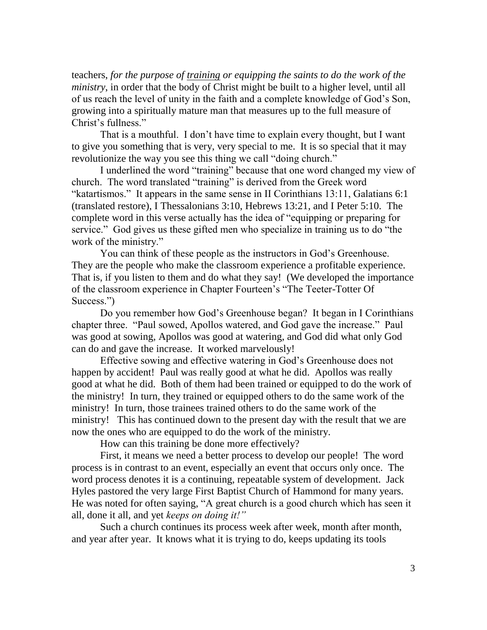teachers, *for the purpose of training or equipping the saints to do the work of the ministry*, in order that the body of Christ might be built to a higher level, until all of us reach the level of unity in the faith and a complete knowledge of God's Son, growing into a spiritually mature man that measures up to the full measure of Christ's fullness."

That is a mouthful. I don't have time to explain every thought, but I want to give you something that is very, very special to me. It is so special that it may revolutionize the way you see this thing we call "doing church."

I underlined the word "training" because that one word changed my view of church. The word translated "training" is derived from the Greek word "katartismos." It appears in the same sense in II Corinthians 13:11, Galatians 6:1 (translated restore), I Thessalonians 3:10, Hebrews 13:21, and I Peter 5:10. The complete word in this verse actually has the idea of "equipping or preparing for service." God gives us these gifted men who specialize in training us to do "the work of the ministry."

You can think of these people as the instructors in God's Greenhouse. They are the people who make the classroom experience a profitable experience. That is, if you listen to them and do what they say! (We developed the importance of the classroom experience in Chapter Fourteen's "The Teeter-Totter Of Success.")

Do you remember how God's Greenhouse began? It began in I Corinthians chapter three. "Paul sowed, Apollos watered, and God gave the increase." Paul was good at sowing, Apollos was good at watering, and God did what only God can do and gave the increase. It worked marvelously!

Effective sowing and effective watering in God's Greenhouse does not happen by accident! Paul was really good at what he did. Apollos was really good at what he did. Both of them had been trained or equipped to do the work of the ministry! In turn, they trained or equipped others to do the same work of the ministry! In turn, those trainees trained others to do the same work of the ministry! This has continued down to the present day with the result that we are now the ones who are equipped to do the work of the ministry.

How can this training be done more effectively?

First, it means we need a better process to develop our people! The word process is in contrast to an event, especially an event that occurs only once. The word process denotes it is a continuing, repeatable system of development. Jack Hyles pastored the very large First Baptist Church of Hammond for many years. He was noted for often saying, "A great church is a good church which has seen it all, done it all, and yet *keeps on doing it!"*

Such a church continues its process week after week, month after month, and year after year. It knows what it is trying to do, keeps updating its tools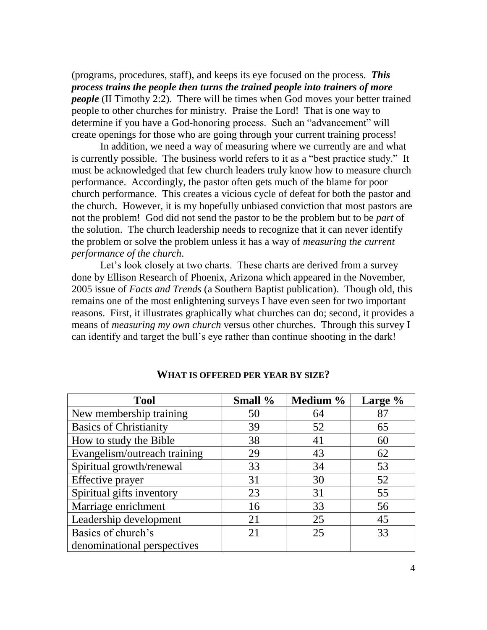(programs, procedures, staff), and keeps its eye focused on the process. *This process trains the people then turns the trained people into trainers of more people* (II Timothy 2:2). There will be times when God moves your better trained people to other churches for ministry. Praise the Lord! That is one way to determine if you have a God-honoring process. Such an "advancement" will create openings for those who are going through your current training process!

In addition, we need a way of measuring where we currently are and what is currently possible. The business world refers to it as a "best practice study." It must be acknowledged that few church leaders truly know how to measure church performance. Accordingly, the pastor often gets much of the blame for poor church performance. This creates a vicious cycle of defeat for both the pastor and the church. However, it is my hopefully unbiased conviction that most pastors are not the problem! God did not send the pastor to be the problem but to be *part* of the solution. The church leadership needs to recognize that it can never identify the problem or solve the problem unless it has a way of *measuring the current performance of the church*.

Let's look closely at two charts. These charts are derived from a survey done by Ellison Research of Phoenix, Arizona which appeared in the November, 2005 issue of *Facts and Trends* (a Southern Baptist publication). Though old, this remains one of the most enlightening surveys I have even seen for two important reasons. First, it illustrates graphically what churches can do; second, it provides a means of *measuring my own church* versus other churches. Through this survey I can identify and target the bull's eye rather than continue shooting in the dark!

| <b>Tool</b>                   | Small % | Medium % | Large % |
|-------------------------------|---------|----------|---------|
| New membership training       | 50      | 64       | 87      |
| <b>Basics of Christianity</b> | 39      | 52       | 65      |
| How to study the Bible        | 38      | 41       | 60      |
| Evangelism/outreach training  | 29      | 43       | 62      |
| Spiritual growth/renewal      | 33      | 34       | 53      |
| Effective prayer              | 31      | 30       | 52      |
| Spiritual gifts inventory     | 23      | 31       | 55      |
| Marriage enrichment           | 16      | 33       | 56      |
| Leadership development        | 21      | 25       | 45      |
| Basics of church's            | 21      | 25       | 33      |
| denominational perspectives   |         |          |         |

**WHAT IS OFFERED PER YEAR BY SIZE?**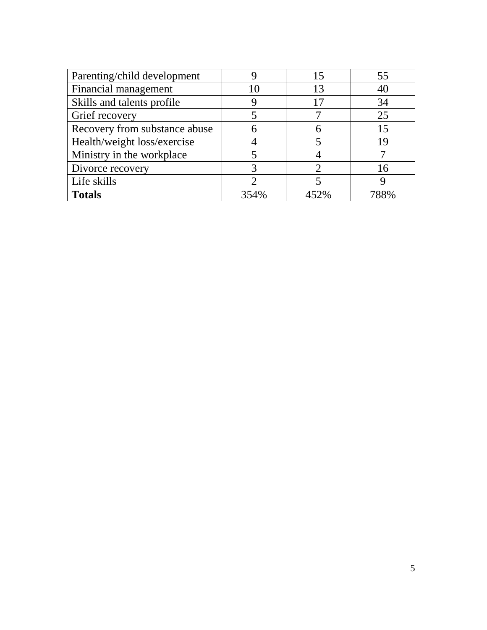| Parenting/child development   |      | 15   |      |
|-------------------------------|------|------|------|
| Financial management          | 10   | 13   |      |
| Skills and talents profile    |      | 17   | 34   |
| Grief recovery                |      |      | 25   |
| Recovery from substance abuse |      |      |      |
| Health/weight loss/exercise   |      |      |      |
| Ministry in the workplace     |      |      |      |
| Divorce recovery              |      |      | l 6  |
| Life skills                   |      |      |      |
| <b>Totals</b>                 | 354% | 452% | 788% |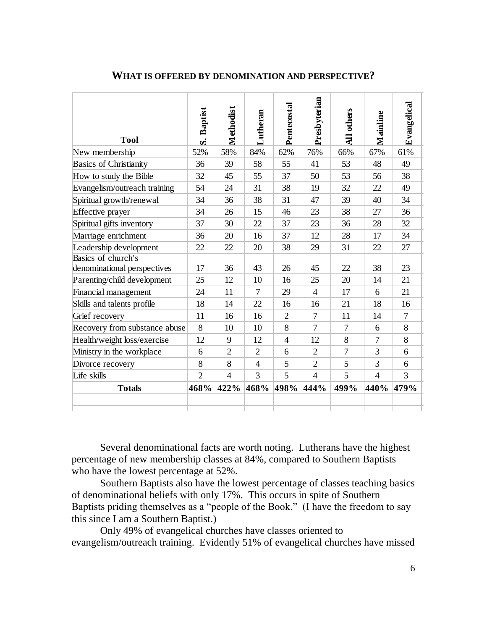| <b>Tool</b>                                       | <b>Baptist</b><br>S. | Methodist      | Lutheran       | Pentecostal    | Presbyterian   | others<br>$\overline{\mathbf{H}}$ | Mainline       | Evangelical |
|---------------------------------------------------|----------------------|----------------|----------------|----------------|----------------|-----------------------------------|----------------|-------------|
| New membership                                    | 52%                  | 58%            | 84%            | 62%            | 76%            | 66%                               | 67%            | 61%         |
| <b>Basics of Christianity</b>                     | 36                   | 39             | 58             | 55             | 41             | 53                                | 48             | 49          |
| How to study the Bible                            | 32                   | 45             | 55             | 37             | 50             | 53                                | 56             | 38          |
| Evangelism/outreach training                      | 54                   | 24             | 31             | 38             | 19             | 32                                | 22             | 49          |
| Spiritual growth/renewal                          | 34                   | 36             | 38             | 31             | 47             | 39                                | 40             | 34          |
| Effective prayer                                  | 34                   | 26             | 15             | 46             | 23             | 38                                | 27             | 36          |
| Spiritual gifts inventory                         | 37                   | 30             | 22             | 37             | 23             | 36                                | 28             | 32          |
| Marriage enrichment                               | 36                   | 20             | 16             | 37             | 12             | 28                                | 17             | 34          |
| Leadership development                            | 22                   | 22             | 20             | 38             | 29             | 31                                | 22             | 27          |
| Basics of church's<br>denominational perspectives | 17                   | 36             | 43             | 26             | 45             | 22                                | 38             | 23          |
| Parenting/child development                       | 25                   | 12             | 10             | 16             | 25             | 20                                | 14             | 21          |
| Financial management                              | 24                   | 11             | 7              | 29             | $\overline{4}$ | 17                                | 6              | 21          |
| Skills and talents profile                        | 18                   | 14             | 22             | 16             | 16             | 21                                | 18             | 16          |
| Grief recovery                                    | 11                   | 16             | 16             | $\overline{2}$ | 7              | 11                                | 14             | 7           |
| Recovery from substance abuse                     | 8                    | 10             | 10             | 8              | 7              | 7                                 | 6              | 8           |
| Health/weight loss/exercise                       | 12                   | 9              | 12             | $\overline{4}$ | 12             | 8                                 | $\overline{7}$ | 8           |
| Ministry in the workplace                         | 6                    | $\overline{2}$ | $\overline{2}$ | 6              | $\overline{2}$ | $\overline{7}$                    | 3              | 6           |
| Divorce recovery                                  | 8                    | 8              | $\overline{4}$ | 5              | $\overline{2}$ | 5                                 | 3              | 6           |
| Life skills                                       | $\overline{2}$       | $\overline{4}$ | 3              | 5              | $\overline{4}$ | 5                                 | $\overline{4}$ | 3           |
| <b>Totals</b>                                     | 468%                 | 422%           | 468%           | 498%           | 444%           | 499%                              | 440%           | 479%        |
|                                                   |                      |                |                |                |                |                                   |                |             |

## **WHAT IS OFFERED BY DENOMINATION AND PERSPECTIVE?**

Several denominational facts are worth noting. Lutherans have the highest percentage of new membership classes at 84%, compared to Southern Baptists who have the lowest percentage at 52%.

Southern Baptists also have the lowest percentage of classes teaching basics of denominational beliefs with only 17%. This occurs in spite of Southern Baptists priding themselves as a "people of the Book." (I have the freedom to say this since I am a Southern Baptist.)

Only 49% of evangelical churches have classes oriented to evangelism/outreach training. Evidently 51% of evangelical churches have missed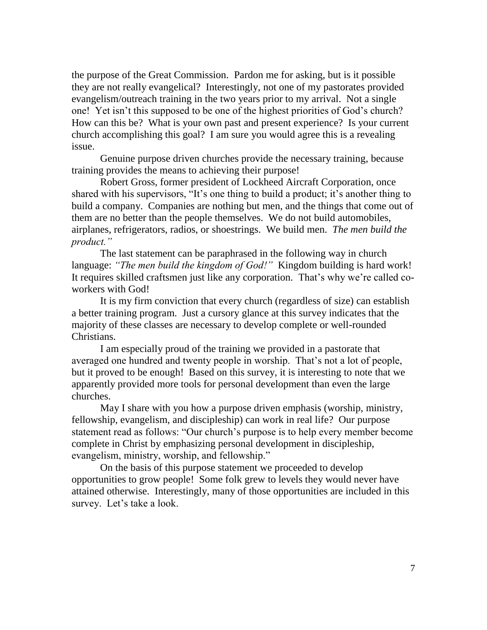the purpose of the Great Commission. Pardon me for asking, but is it possible they are not really evangelical? Interestingly, not one of my pastorates provided evangelism/outreach training in the two years prior to my arrival. Not a single one! Yet isn't this supposed to be one of the highest priorities of God's church? How can this be? What is your own past and present experience? Is your current church accomplishing this goal? I am sure you would agree this is a revealing issue.

Genuine purpose driven churches provide the necessary training, because training provides the means to achieving their purpose!

Robert Gross, former president of Lockheed Aircraft Corporation, once shared with his supervisors, "It's one thing to build a product; it's another thing to build a company. Companies are nothing but men, and the things that come out of them are no better than the people themselves. We do not build automobiles, airplanes, refrigerators, radios, or shoestrings. We build men. *The men build the product."*

The last statement can be paraphrased in the following way in church language: *"The men build the kingdom of God!"* Kingdom building is hard work! It requires skilled craftsmen just like any corporation. That's why we're called coworkers with God!

It is my firm conviction that every church (regardless of size) can establish a better training program. Just a cursory glance at this survey indicates that the majority of these classes are necessary to develop complete or well-rounded Christians.

I am especially proud of the training we provided in a pastorate that averaged one hundred and twenty people in worship. That's not a lot of people, but it proved to be enough! Based on this survey, it is interesting to note that we apparently provided more tools for personal development than even the large churches.

May I share with you how a purpose driven emphasis (worship, ministry, fellowship, evangelism, and discipleship) can work in real life? Our purpose statement read as follows: "Our church's purpose is to help every member become complete in Christ by emphasizing personal development in discipleship, evangelism, ministry, worship, and fellowship."

On the basis of this purpose statement we proceeded to develop opportunities to grow people! Some folk grew to levels they would never have attained otherwise. Interestingly, many of those opportunities are included in this survey. Let's take a look.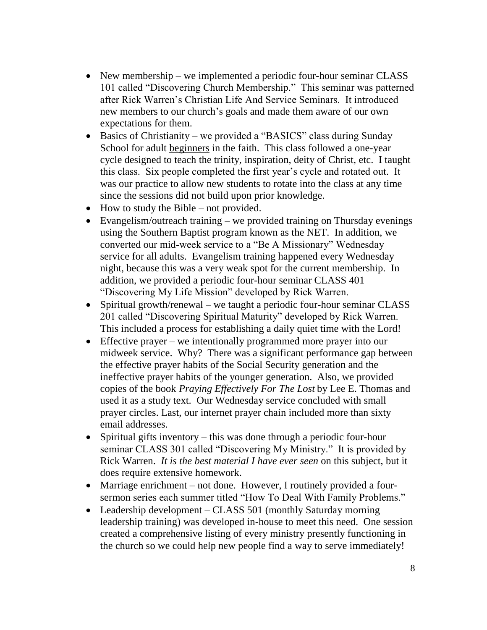- New membership we implemented a periodic four-hour seminar CLASS 101 called "Discovering Church Membership." This seminar was patterned after Rick Warren's Christian Life And Service Seminars. It introduced new members to our church's goals and made them aware of our own expectations for them.
- Basics of Christianity we provided a "BASICS" class during Sunday School for adult beginners in the faith. This class followed a one-year cycle designed to teach the trinity, inspiration, deity of Christ, etc. I taught this class. Six people completed the first year's cycle and rotated out. It was our practice to allow new students to rotate into the class at any time since the sessions did not build upon prior knowledge.
- How to study the Bible not provided.
- Evangelism/outreach training we provided training on Thursday evenings using the Southern Baptist program known as the NET. In addition, we converted our mid-week service to a "Be A Missionary" Wednesday service for all adults. Evangelism training happened every Wednesday night, because this was a very weak spot for the current membership. In addition, we provided a periodic four-hour seminar CLASS 401 "Discovering My Life Mission" developed by Rick Warren.
- Spiritual growth/renewal we taught a periodic four-hour seminar CLASS 201 called "Discovering Spiritual Maturity" developed by Rick Warren. This included a process for establishing a daily quiet time with the Lord!
- Effective prayer we intentionally programmed more prayer into our midweek service. Why? There was a significant performance gap between the effective prayer habits of the Social Security generation and the ineffective prayer habits of the younger generation. Also, we provided copies of the book *Praying Effectively For The Lost* by Lee E. Thomas and used it as a study text. Our Wednesday service concluded with small prayer circles. Last, our internet prayer chain included more than sixty email addresses.
- Spiritual gifts inventory this was done through a periodic four-hour seminar CLASS 301 called "Discovering My Ministry." It is provided by Rick Warren. *It is the best material I have ever seen* on this subject, but it does require extensive homework.
- Marriage enrichment not done. However, I routinely provided a foursermon series each summer titled "How To Deal With Family Problems."
- Leadership development CLASS 501 (monthly Saturday morning leadership training) was developed in-house to meet this need. One session created a comprehensive listing of every ministry presently functioning in the church so we could help new people find a way to serve immediately!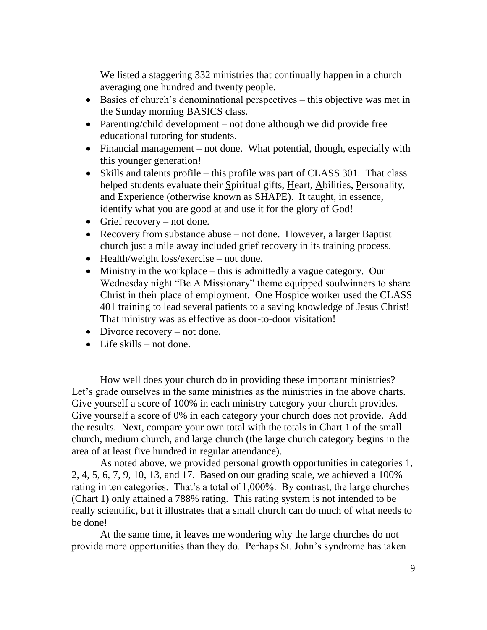We listed a staggering 332 ministries that continually happen in a church averaging one hundred and twenty people.

- Basics of church's denominational perspectives this objective was met in the Sunday morning BASICS class.
- Parenting/child development not done although we did provide free educational tutoring for students.
- Financial management not done. What potential, though, especially with this younger generation!
- Skills and talents profile this profile was part of CLASS 301. That class helped students evaluate their Spiritual gifts, Heart, Abilities, Personality, and Experience (otherwise known as SHAPE). It taught, in essence, identify what you are good at and use it for the glory of God!
- Grief recovery not done.
- Recovery from substance abuse not done. However, a larger Baptist church just a mile away included grief recovery in its training process.
- Health/weight loss/exercise not done.
- Ministry in the workplace this is admittedly a vague category. Our Wednesday night "Be A Missionary" theme equipped soulwinners to share Christ in their place of employment. One Hospice worker used the CLASS 401 training to lead several patients to a saving knowledge of Jesus Christ! That ministry was as effective as door-to-door visitation!
- Divorce recovery not done.
- Life skills not done.

How well does your church do in providing these important ministries? Let's grade ourselves in the same ministries as the ministries in the above charts. Give yourself a score of 100% in each ministry category your church provides. Give yourself a score of 0% in each category your church does not provide. Add the results. Next, compare your own total with the totals in Chart 1 of the small church, medium church, and large church (the large church category begins in the area of at least five hundred in regular attendance).

As noted above, we provided personal growth opportunities in categories 1, 2, 4, 5, 6, 7, 9, 10, 13, and 17. Based on our grading scale, we achieved a 100% rating in ten categories. That's a total of 1,000%. By contrast, the large churches (Chart 1) only attained a 788% rating. This rating system is not intended to be really scientific, but it illustrates that a small church can do much of what needs to be done!

At the same time, it leaves me wondering why the large churches do not provide more opportunities than they do. Perhaps St. John's syndrome has taken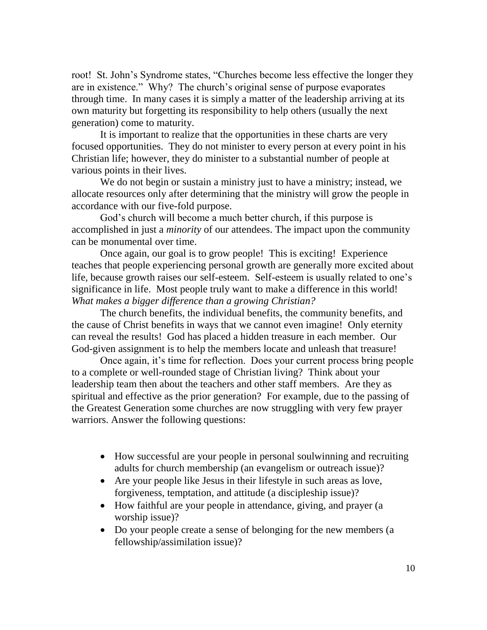root! St. John's Syndrome states, "Churches become less effective the longer they are in existence." Why? The church's original sense of purpose evaporates through time. In many cases it is simply a matter of the leadership arriving at its own maturity but forgetting its responsibility to help others (usually the next generation) come to maturity.

It is important to realize that the opportunities in these charts are very focused opportunities. They do not minister to every person at every point in his Christian life; however, they do minister to a substantial number of people at various points in their lives.

We do not begin or sustain a ministry just to have a ministry; instead, we allocate resources only after determining that the ministry will grow the people in accordance with our five-fold purpose.

God's church will become a much better church, if this purpose is accomplished in just a *minority* of our attendees. The impact upon the community can be monumental over time.

Once again, our goal is to grow people! This is exciting! Experience teaches that people experiencing personal growth are generally more excited about life, because growth raises our self-esteem. Self-esteem is usually related to one's significance in life. Most people truly want to make a difference in this world! *What makes a bigger difference than a growing Christian?*

The church benefits, the individual benefits, the community benefits, and the cause of Christ benefits in ways that we cannot even imagine! Only eternity can reveal the results! God has placed a hidden treasure in each member. Our God-given assignment is to help the members locate and unleash that treasure!

Once again, it's time for reflection. Does your current process bring people to a complete or well-rounded stage of Christian living? Think about your leadership team then about the teachers and other staff members. Are they as spiritual and effective as the prior generation? For example, due to the passing of the Greatest Generation some churches are now struggling with very few prayer warriors. Answer the following questions:

- How successful are your people in personal soulwinning and recruiting adults for church membership (an evangelism or outreach issue)?
- Are your people like Jesus in their lifestyle in such areas as love, forgiveness, temptation, and attitude (a discipleship issue)?
- How faithful are your people in attendance, giving, and prayer (a worship issue)?
- Do your people create a sense of belonging for the new members (a fellowship/assimilation issue)?